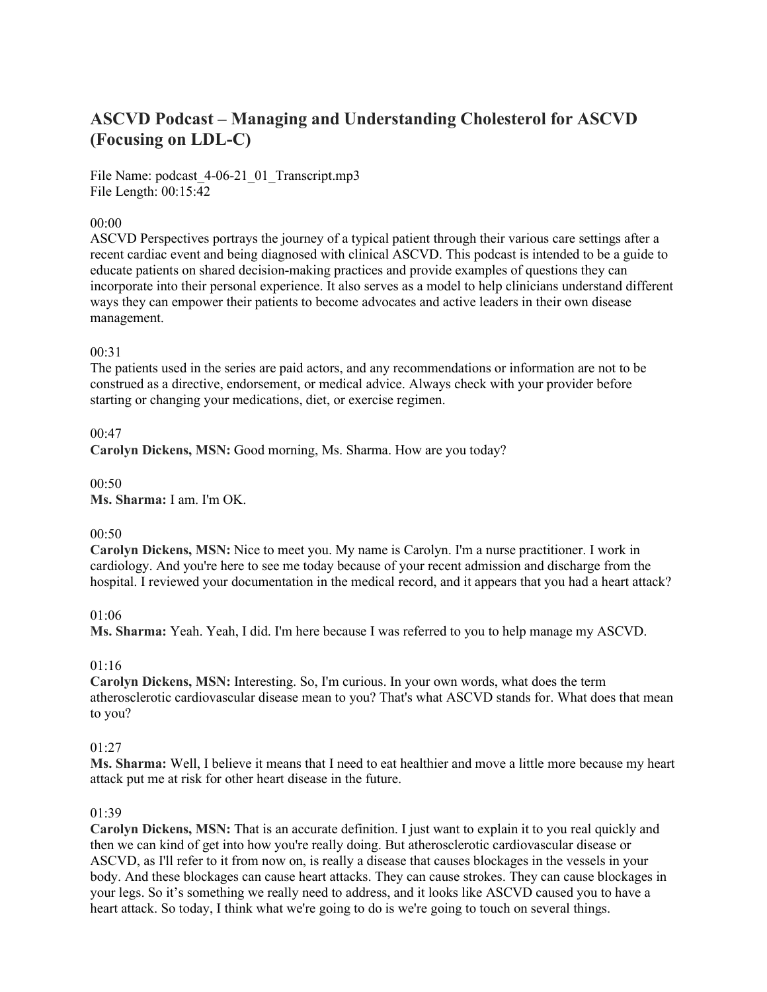# **ASCVD Podcast – Managing and Understanding Cholesterol for ASCVD (Focusing on LDL-C)**

File Name: podcast 4-06-21 01 Transcript.mp3 File Length: 00:15:42

## 00:00

ASCVD Perspectives portrays the journey of a typical patient through their various care settings after a recent cardiac event and being diagnosed with clinical ASCVD. This podcast is intended to be a guide to educate patients on shared decision-making practices and provide examples of questions they can incorporate into their personal experience. It also serves as a model to help clinicians understand different ways they can empower their patients to become advocates and active leaders in their own disease management.

#### 00:31

The patients used in the series are paid actors, and any recommendations or information are not to be construed as a directive, endorsement, or medical advice. Always check with your provider before starting or changing your medications, diet, or exercise regimen.

#### 00:47

**Carolyn Dickens, MSN:** Good morning, Ms. Sharma. How are you today?

00:50 **Ms. Sharma:** I am. I'm OK.

#### $00:50$

**Carolyn Dickens, MSN:** Nice to meet you. My name is Carolyn. I'm a nurse practitioner. I work in cardiology. And you're here to see me today because of your recent admission and discharge from the hospital. I reviewed your documentation in the medical record, and it appears that you had a heart attack?

#### 01:06

**Ms. Sharma:** Yeah. Yeah, I did. I'm here because I was referred to you to help manage my ASCVD.

#### 01:16

**Carolyn Dickens, MSN:** Interesting. So, I'm curious. In your own words, what does the term atherosclerotic cardiovascular disease mean to you? That's what ASCVD stands for. What does that mean to you?

#### $01:27$

**Ms. Sharma:** Well, I believe it means that I need to eat healthier and move a little more because my heart attack put me at risk for other heart disease in the future.

#### 01:39

**Carolyn Dickens, MSN:** That is an accurate definition. I just want to explain it to you real quickly and then we can kind of get into how you're really doing. But atherosclerotic cardiovascular disease or ASCVD, as I'll refer to it from now on, is really a disease that causes blockages in the vessels in your body. And these blockages can cause heart attacks. They can cause strokes. They can cause blockages in your legs. So it's something we really need to address, and it looks like ASCVD caused you to have a heart attack. So today, I think what we're going to do is we're going to touch on several things.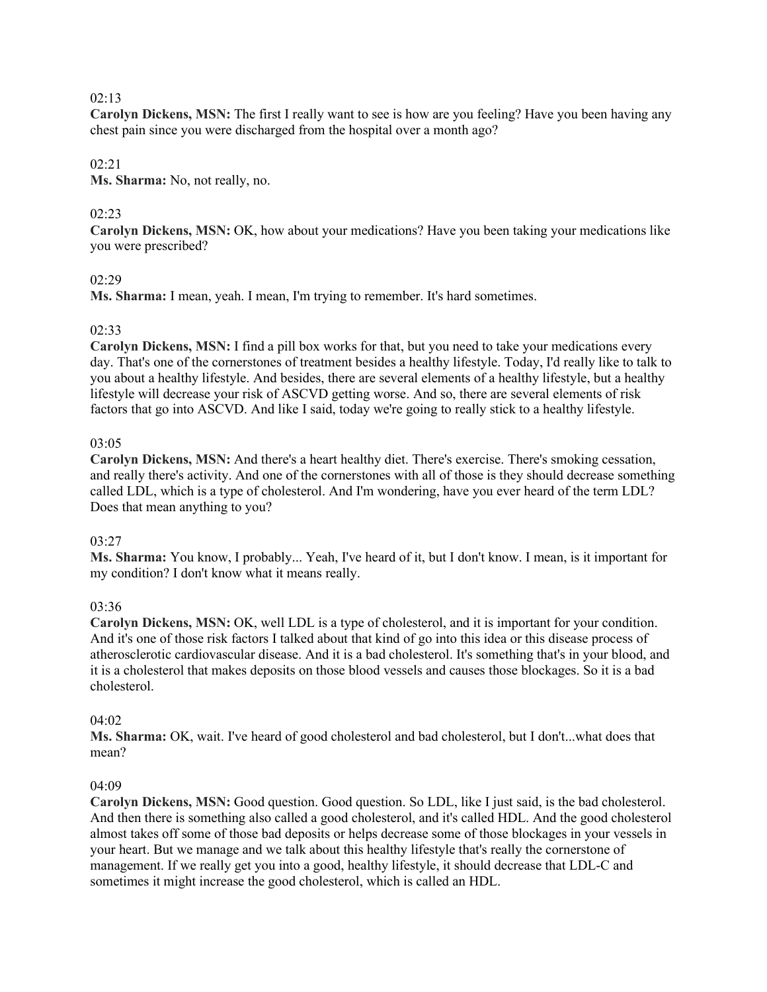**Carolyn Dickens, MSN:** The first I really want to see is how are you feeling? Have you been having any chest pain since you were discharged from the hospital over a month ago?

# 02:21

**Ms. Sharma:** No, not really, no.

# 02:23

**Carolyn Dickens, MSN:** OK, how about your medications? Have you been taking your medications like you were prescribed?

# 02:29

**Ms. Sharma:** I mean, yeah. I mean, I'm trying to remember. It's hard sometimes.

# 02:33

**Carolyn Dickens, MSN:** I find a pill box works for that, but you need to take your medications every day. That's one of the cornerstones of treatment besides a healthy lifestyle. Today, I'd really like to talk to you about a healthy lifestyle. And besides, there are several elements of a healthy lifestyle, but a healthy lifestyle will decrease your risk of ASCVD getting worse. And so, there are several elements of risk factors that go into ASCVD. And like I said, today we're going to really stick to a healthy lifestyle.

# 03:05

**Carolyn Dickens, MSN:** And there's a heart healthy diet. There's exercise. There's smoking cessation, and really there's activity. And one of the cornerstones with all of those is they should decrease something called LDL, which is a type of cholesterol. And I'm wondering, have you ever heard of the term LDL? Does that mean anything to you?

# 03:27

**Ms. Sharma:** You know, I probably... Yeah, I've heard of it, but I don't know. I mean, is it important for my condition? I don't know what it means really.

# 03:36

**Carolyn Dickens, MSN:** OK, well LDL is a type of cholesterol, and it is important for your condition. And it's one of those risk factors I talked about that kind of go into this idea or this disease process of atherosclerotic cardiovascular disease. And it is a bad cholesterol. It's something that's in your blood, and it is a cholesterol that makes deposits on those blood vessels and causes those blockages. So it is a bad cholesterol.

#### 04:02

**Ms. Sharma:** OK, wait. I've heard of good cholesterol and bad cholesterol, but I don't...what does that mean?

# 04:09

**Carolyn Dickens, MSN:** Good question. Good question. So LDL, like I just said, is the bad cholesterol. And then there is something also called a good cholesterol, and it's called HDL. And the good cholesterol almost takes off some of those bad deposits or helps decrease some of those blockages in your vessels in your heart. But we manage and we talk about this healthy lifestyle that's really the cornerstone of management. If we really get you into a good, healthy lifestyle, it should decrease that LDL-C and sometimes it might increase the good cholesterol, which is called an HDL.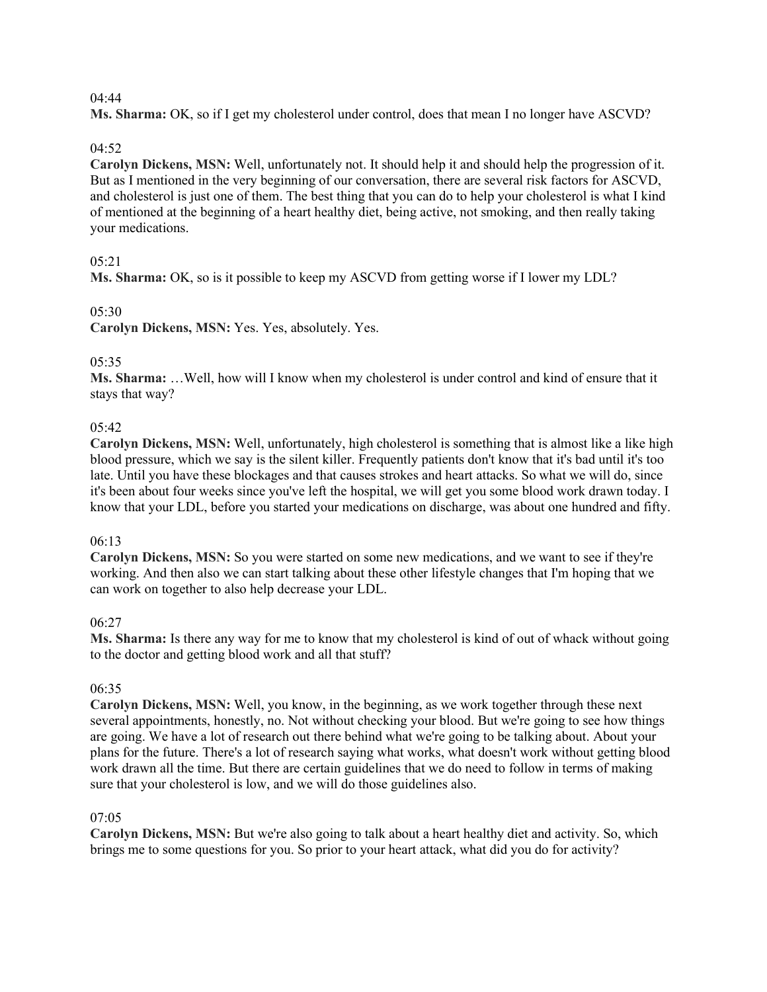**Ms. Sharma:** OK, so if I get my cholesterol under control, does that mean I no longer have ASCVD?

# 04:52

**Carolyn Dickens, MSN:** Well, unfortunately not. It should help it and should help the progression of it. But as I mentioned in the very beginning of our conversation, there are several risk factors for ASCVD, and cholesterol is just one of them. The best thing that you can do to help your cholesterol is what I kind of mentioned at the beginning of a heart healthy diet, being active, not smoking, and then really taking your medications.

# 05:21

**Ms. Sharma:** OK, so is it possible to keep my ASCVD from getting worse if I lower my LDL?

# 05:30

**Carolyn Dickens, MSN:** Yes. Yes, absolutely. Yes.

# 05:35

**Ms. Sharma:** …Well, how will I know when my cholesterol is under control and kind of ensure that it stays that way?

# 05:42

**Carolyn Dickens, MSN:** Well, unfortunately, high cholesterol is something that is almost like a like high blood pressure, which we say is the silent killer. Frequently patients don't know that it's bad until it's too late. Until you have these blockages and that causes strokes and heart attacks. So what we will do, since it's been about four weeks since you've left the hospital, we will get you some blood work drawn today. I know that your LDL, before you started your medications on discharge, was about one hundred and fifty.

# 06:13

**Carolyn Dickens, MSN:** So you were started on some new medications, and we want to see if they're working. And then also we can start talking about these other lifestyle changes that I'm hoping that we can work on together to also help decrease your LDL.

# 06:27

**Ms. Sharma:** Is there any way for me to know that my cholesterol is kind of out of whack without going to the doctor and getting blood work and all that stuff?

# 06:35

**Carolyn Dickens, MSN:** Well, you know, in the beginning, as we work together through these next several appointments, honestly, no. Not without checking your blood. But we're going to see how things are going. We have a lot of research out there behind what we're going to be talking about. About your plans for the future. There's a lot of research saying what works, what doesn't work without getting blood work drawn all the time. But there are certain guidelines that we do need to follow in terms of making sure that your cholesterol is low, and we will do those guidelines also.

# 07:05

**Carolyn Dickens, MSN:** But we're also going to talk about a heart healthy diet and activity. So, which brings me to some questions for you. So prior to your heart attack, what did you do for activity?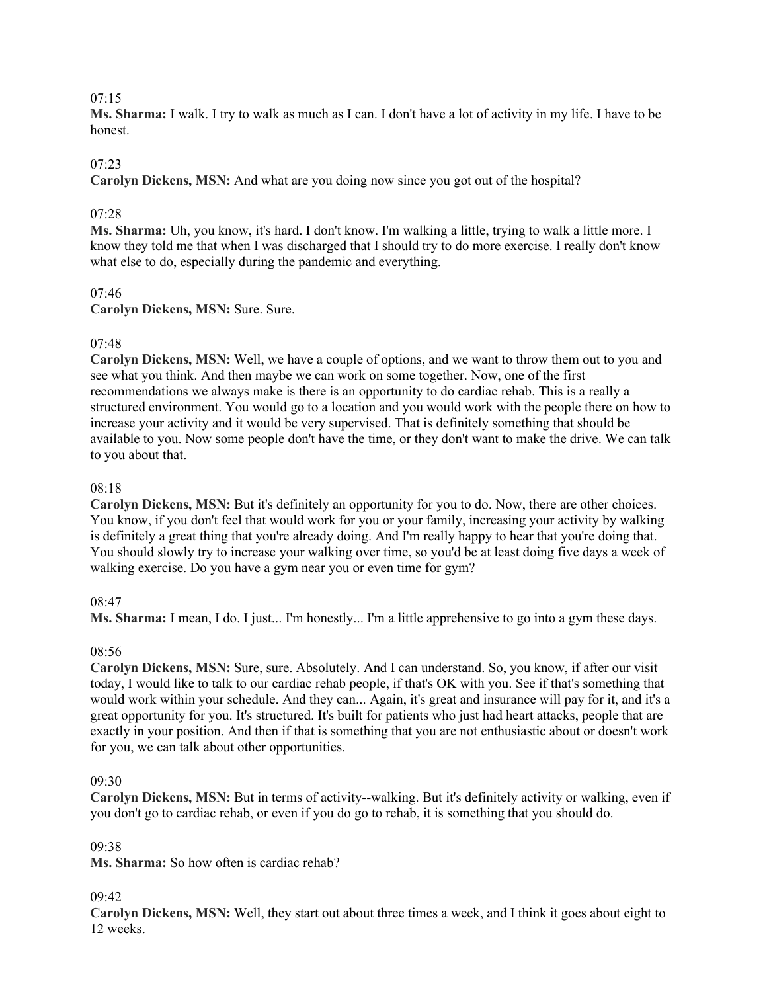**Ms. Sharma:** I walk. I try to walk as much as I can. I don't have a lot of activity in my life. I have to be honest.

# 07:23

**Carolyn Dickens, MSN:** And what are you doing now since you got out of the hospital?

# 07:28

**Ms. Sharma:** Uh, you know, it's hard. I don't know. I'm walking a little, trying to walk a little more. I know they told me that when I was discharged that I should try to do more exercise. I really don't know what else to do, especially during the pandemic and everything.

# $07:46$

**Carolyn Dickens, MSN:** Sure. Sure.

# 07:48

**Carolyn Dickens, MSN:** Well, we have a couple of options, and we want to throw them out to you and see what you think. And then maybe we can work on some together. Now, one of the first recommendations we always make is there is an opportunity to do cardiac rehab. This is a really a structured environment. You would go to a location and you would work with the people there on how to increase your activity and it would be very supervised. That is definitely something that should be available to you. Now some people don't have the time, or they don't want to make the drive. We can talk to you about that.

# 08:18

**Carolyn Dickens, MSN:** But it's definitely an opportunity for you to do. Now, there are other choices. You know, if you don't feel that would work for you or your family, increasing your activity by walking is definitely a great thing that you're already doing. And I'm really happy to hear that you're doing that. You should slowly try to increase your walking over time, so you'd be at least doing five days a week of walking exercise. Do you have a gym near you or even time for gym?

# 08:47

**Ms. Sharma:** I mean, I do. I just... I'm honestly... I'm a little apprehensive to go into a gym these days.

# 08:56

**Carolyn Dickens, MSN:** Sure, sure. Absolutely. And I can understand. So, you know, if after our visit today, I would like to talk to our cardiac rehab people, if that's OK with you. See if that's something that would work within your schedule. And they can... Again, it's great and insurance will pay for it, and it's a great opportunity for you. It's structured. It's built for patients who just had heart attacks, people that are exactly in your position. And then if that is something that you are not enthusiastic about or doesn't work for you, we can talk about other opportunities.

# 09:30

**Carolyn Dickens, MSN:** But in terms of activity--walking. But it's definitely activity or walking, even if you don't go to cardiac rehab, or even if you do go to rehab, it is something that you should do.

# 09:38

**Ms. Sharma:** So how often is cardiac rehab?

# 09:42

**Carolyn Dickens, MSN:** Well, they start out about three times a week, and I think it goes about eight to 12 weeks.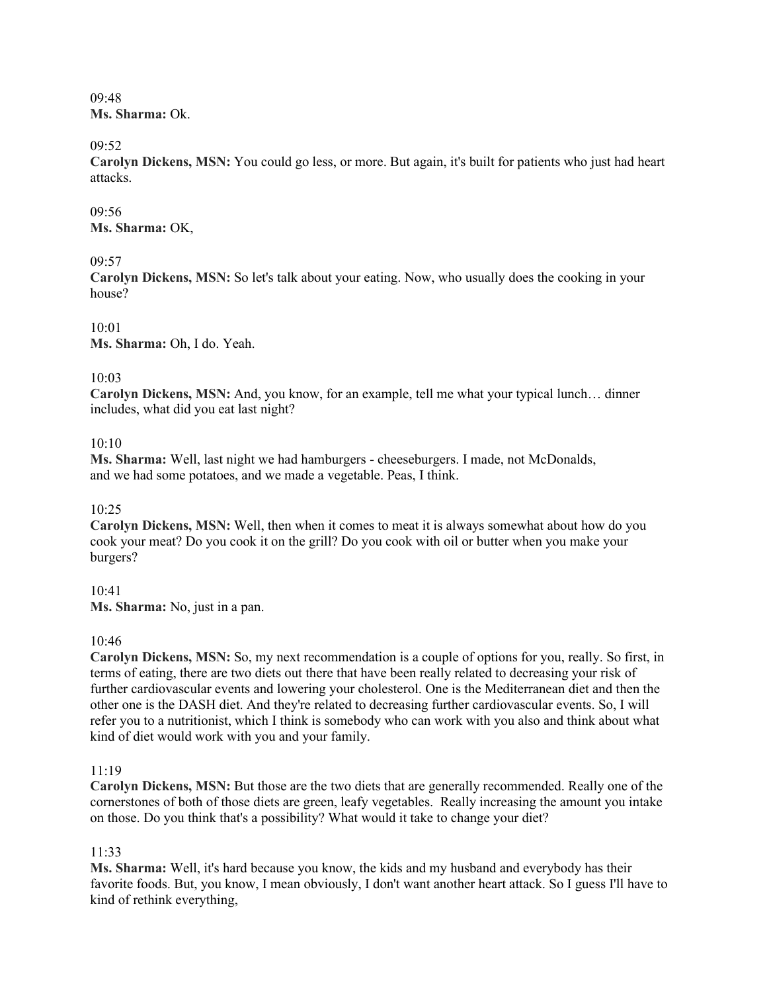09:48 **Ms. Sharma:** Ok.

09:52

**Carolyn Dickens, MSN:** You could go less, or more. But again, it's built for patients who just had heart attacks.

09:56 **Ms. Sharma:** OK,

# 09:57

**Carolyn Dickens, MSN:** So let's talk about your eating. Now, who usually does the cooking in your house?

10:01 **Ms. Sharma:** Oh, I do. Yeah.

#### 10:03

**Carolyn Dickens, MSN:** And, you know, for an example, tell me what your typical lunch… dinner includes, what did you eat last night?

#### 10:10

**Ms. Sharma:** Well, last night we had hamburgers - cheeseburgers. I made, not McDonalds, and we had some potatoes, and we made a vegetable. Peas, I think.

#### 10:25

**Carolyn Dickens, MSN:** Well, then when it comes to meat it is always somewhat about how do you cook your meat? Do you cook it on the grill? Do you cook with oil or butter when you make your burgers?

10:41

**Ms. Sharma:** No, just in a pan.

#### 10:46

**Carolyn Dickens, MSN:** So, my next recommendation is a couple of options for you, really. So first, in terms of eating, there are two diets out there that have been really related to decreasing your risk of further cardiovascular events and lowering your cholesterol. One is the Mediterranean diet and then the other one is the DASH diet. And they're related to decreasing further cardiovascular events. So, I will refer you to a nutritionist, which I think is somebody who can work with you also and think about what kind of diet would work with you and your family.

#### 11:19

**Carolyn Dickens, MSN:** But those are the two diets that are generally recommended. Really one of the cornerstones of both of those diets are green, leafy vegetables. Really increasing the amount you intake on those. Do you think that's a possibility? What would it take to change your diet?

#### 11:33

**Ms. Sharma:** Well, it's hard because you know, the kids and my husband and everybody has their favorite foods. But, you know, I mean obviously, I don't want another heart attack. So I guess I'll have to kind of rethink everything,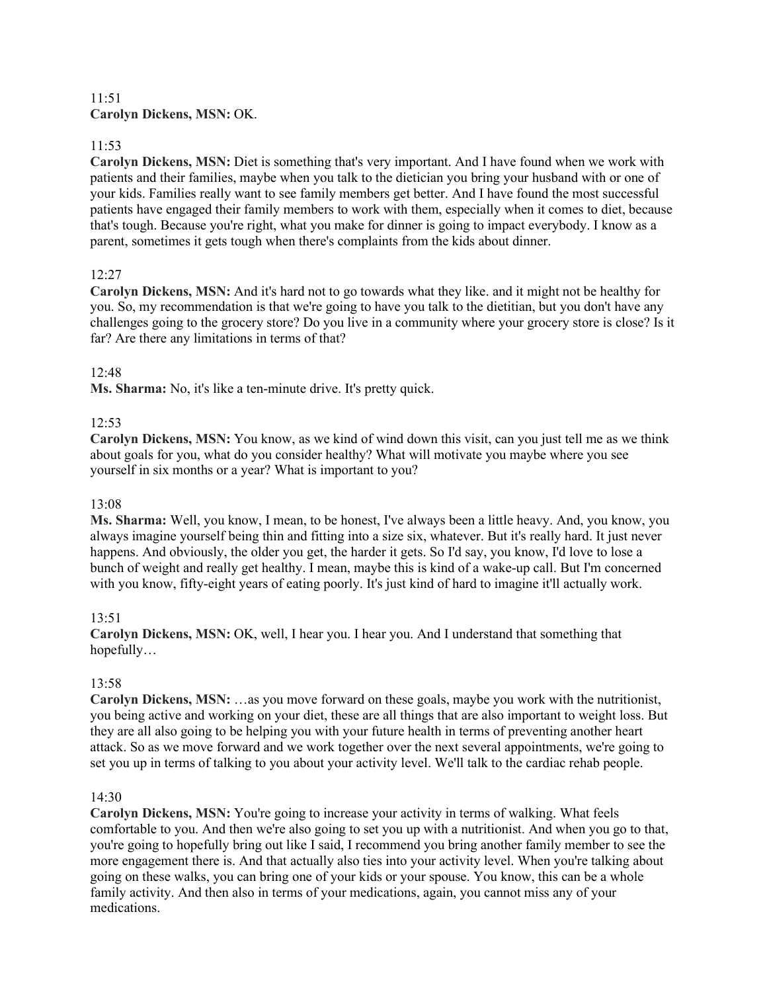# 11:51 **Carolyn Dickens, MSN:** OK.

# 11:53

**Carolyn Dickens, MSN:** Diet is something that's very important. And I have found when we work with patients and their families, maybe when you talk to the dietician you bring your husband with or one of your kids. Families really want to see family members get better. And I have found the most successful patients have engaged their family members to work with them, especially when it comes to diet, because that's tough. Because you're right, what you make for dinner is going to impact everybody. I know as a parent, sometimes it gets tough when there's complaints from the kids about dinner.

# 12:27

**Carolyn Dickens, MSN:** And it's hard not to go towards what they like. and it might not be healthy for you. So, my recommendation is that we're going to have you talk to the dietitian, but you don't have any challenges going to the grocery store? Do you live in a community where your grocery store is close? Is it far? Are there any limitations in terms of that?

# 12:48

**Ms. Sharma:** No, it's like a ten-minute drive. It's pretty quick.

# 12:53

**Carolyn Dickens, MSN:** You know, as we kind of wind down this visit, can you just tell me as we think about goals for you, what do you consider healthy? What will motivate you maybe where you see yourself in six months or a year? What is important to you?

# 13:08

**Ms. Sharma:** Well, you know, I mean, to be honest, I've always been a little heavy. And, you know, you always imagine yourself being thin and fitting into a size six, whatever. But it's really hard. It just never happens. And obviously, the older you get, the harder it gets. So I'd say, you know, I'd love to lose a bunch of weight and really get healthy. I mean, maybe this is kind of a wake-up call. But I'm concerned with you know, fifty-eight years of eating poorly. It's just kind of hard to imagine it'll actually work.

# 13:51

**Carolyn Dickens, MSN:** OK, well, I hear you. I hear you. And I understand that something that hopefully…

# 13:58

**Carolyn Dickens, MSN:** …as you move forward on these goals, maybe you work with the nutritionist, you being active and working on your diet, these are all things that are also important to weight loss. But they are all also going to be helping you with your future health in terms of preventing another heart attack. So as we move forward and we work together over the next several appointments, we're going to set you up in terms of talking to you about your activity level. We'll talk to the cardiac rehab people.

# 14:30

**Carolyn Dickens, MSN:** You're going to increase your activity in terms of walking. What feels comfortable to you. And then we're also going to set you up with a nutritionist. And when you go to that, you're going to hopefully bring out like I said, I recommend you bring another family member to see the more engagement there is. And that actually also ties into your activity level. When you're talking about going on these walks, you can bring one of your kids or your spouse. You know, this can be a whole family activity. And then also in terms of your medications, again, you cannot miss any of your medications.